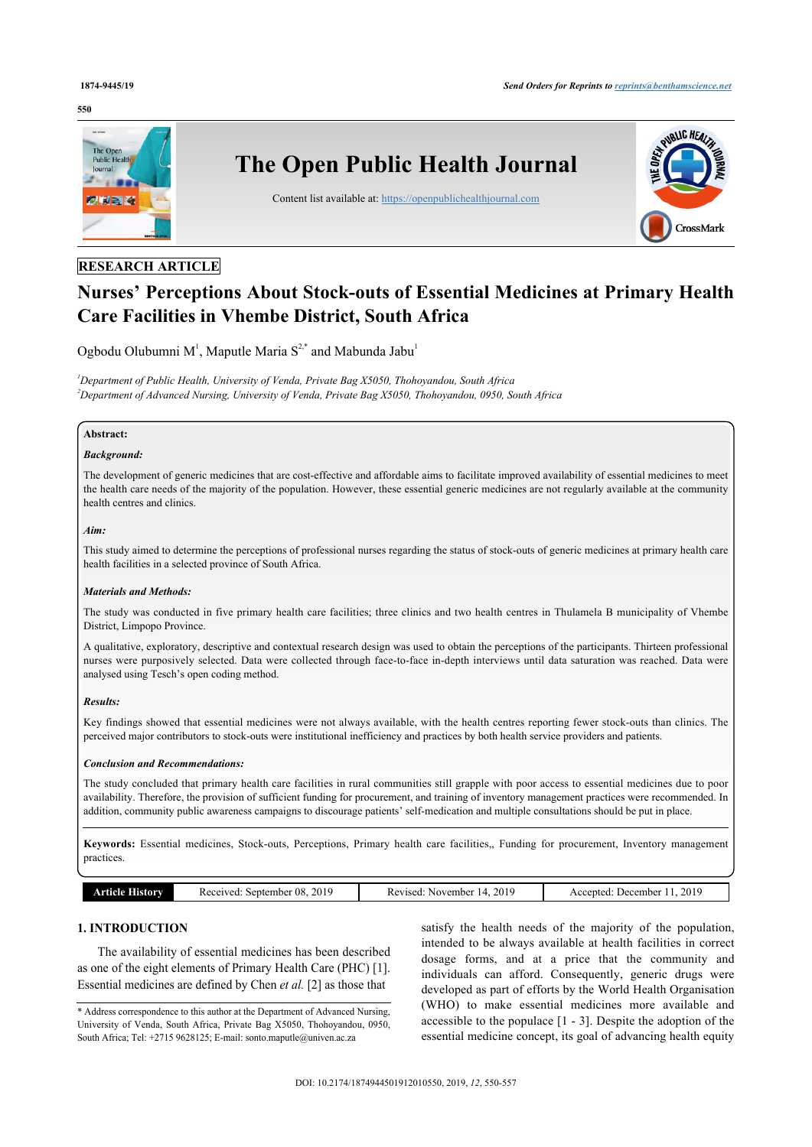#### **550**



# **RESEARCH ARTICLE**

# **Nurses' Perceptions About Stock-outs of Essential Medicines at Primary Health Care Facilities in Vhembe District, South Africa**

Ogbodu Olubumni M<sup>[1](#page-0-0)</sup>, Maputle Maria  $S^{2,*}$  $S^{2,*}$  $S^{2,*}$  $S^{2,*}$  and Mabunda Jabu<sup>1</sup>

<span id="page-0-1"></span><span id="page-0-0"></span>*<sup>1</sup>Department of Public Health, University of Venda, Private Bag X5050, Thohoyandou, South Africa <sup>2</sup>Department of Advanced Nursing, University of Venda, Private Bag X5050, Thohoyandou, 0950, South Africa*

#### **Abstract:**

# *Background:*

The development of generic medicines that are cost-effective and affordable aims to facilitate improved availability of essential medicines to meet the health care needs of the majority of the population. However, these essential generic medicines are not regularly available at the community health centres and clinics.

#### *Aim:*

This study aimed to determine the perceptions of professional nurses regarding the status of stock-outs of generic medicines at primary health care health facilities in a selected province of South Africa.

#### *Materials and Methods:*

The study was conducted in five primary health care facilities; three clinics and two health centres in Thulamela B municipality of Vhembe District, Limpopo Province.

A qualitative, exploratory, descriptive and contextual research design was used to obtain the perceptions of the participants. Thirteen professional nurses were purposively selected. Data were collected through face-to-face in-depth interviews until data saturation was reached. Data were analysed using Tesch's open coding method.

#### *Results:*

Key findings showed that essential medicines were not always available, with the health centres reporting fewer stock-outs than clinics. The perceived major contributors to stock-outs were institutional inefficiency and practices by both health service providers and patients.

#### *Conclusion and Recommendations:*

The study concluded that primary health care facilities in rural communities still grapple with poor access to essential medicines due to poor availability. Therefore, the provision of sufficient funding for procurement, and training of inventory management practices were recommended. In addition, community public awareness campaigns to discourage patients' self-medication and multiple consultations should be put in place.

**Keywords:** Essential medicines, Stock-outs, Perceptions, Primary health care facilities,, Funding for procurement, Inventory management practices.

| aving <b>o</b><br><b>ALISLOW</b> | 2019<br>September 08.<br>Received | 201c<br>. November<br>Revised <sup>.</sup> | 2019<br>December<br>Accepted |
|----------------------------------|-----------------------------------|--------------------------------------------|------------------------------|
|                                  |                                   |                                            |                              |

# **1. INTRODUCTION**

The availability of essential medicines has been described as one of the eight elements of Primary Health Care (PHC) [[1](#page-6-0)]. Essential medicines are defined by Chen *et al.* [\[2\]](#page-6-1) as those that

satisfy the health needs of the majority of the population, intended to be always available at health facilities in correct dosage forms, and at a price that the community and individuals can afford. Consequently, generic drugs were developed as part of efforts by the World Health Organisation (WHO) to make essential medicines more available and accessible to the populace [[1](#page-6-0) - [3](#page-6-2)]. Despite the adoption of the essential medicine concept, its goal of advancing health equity

<span id="page-0-2"></span><sup>\*</sup> Address correspondence to this author at the Department of Advanced Nursing, University of Venda, South Africa, Private Bag X5050, Thohoyandou, 0950, South Africa; Tel: +2715 9628125; E-mail: [sonto.maputle@univen.ac.za](mailto:sonto.maputle@univen.ac.za)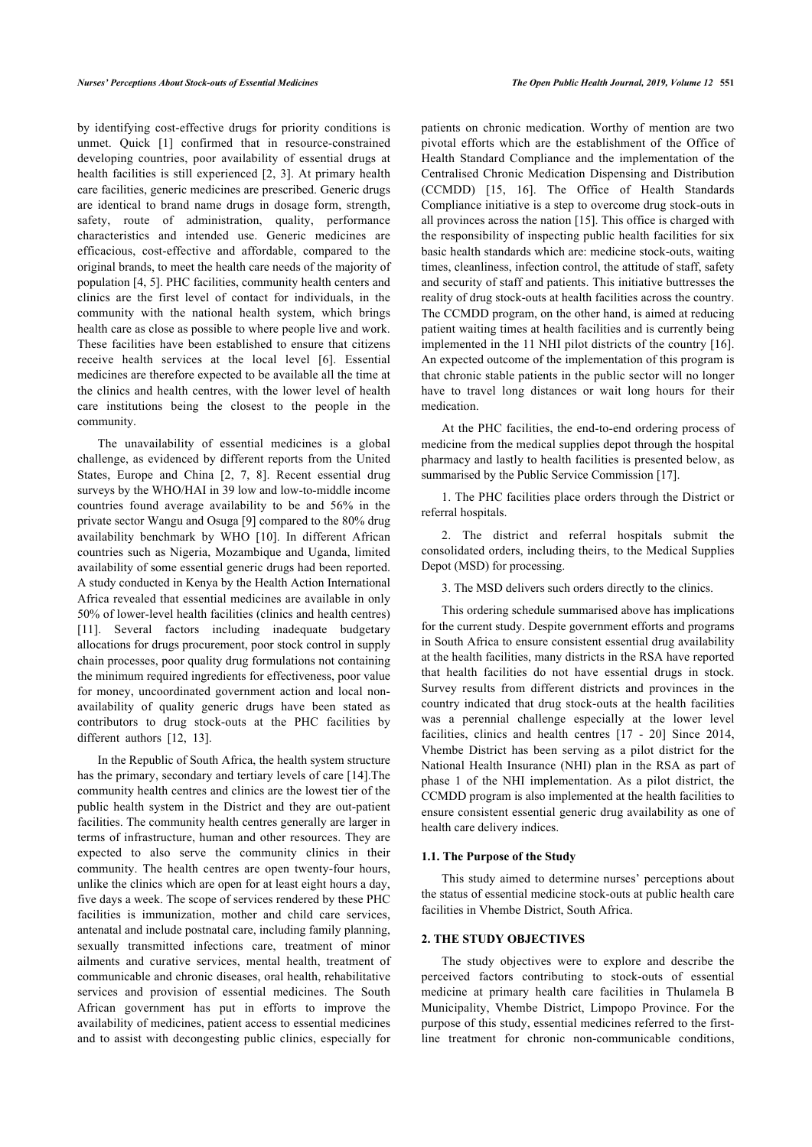by identifying cost-effective drugs for priority conditions is unmet. Quick [\[1\]](#page-6-0) confirmed that in resource-constrained developing countries, poor availability of essential drugs at health facilities is still experienced [\[2](#page-6-1), [3](#page-6-2)]. At primary health care facilities, generic medicines are prescribed. Generic drugs are identical to brand name drugs in dosage form, strength, safety, route of administration, quality, performance characteristics and intended use. Generic medicines are efficacious, cost-effective and affordable, compared to the original brands, to meet the health care needs of the majority of population [[4](#page-6-3), [5](#page-6-4)]. PHC facilities, community health centers and clinics are the first level of contact for individuals, in the community with the national health system, which brings health care as close as possible to where people live and work. These facilities have been established to ensure that citizens receive health services at the local level[[6](#page-6-5)]. Essential medicines are therefore expected to be available all the time at the clinics and health centres, with the lower level of health care institutions being the closest to the people in the community.

The unavailability of essential medicines is a global challenge, as evidenced by different reports from the United States, Europe and China[[2](#page-6-1), [7,](#page-6-6) [8\]](#page-6-7). Recent essential drug surveys by the WHO/HAI in 39 low and low-to-middle income countries found average availability to be and 56% in the private sector Wangu and Osuga [\[9\]](#page-6-8) compared to the 80% drug availability benchmark by WHO[[10](#page-6-9)]. In different African countries such as Nigeria, Mozambique and Uganda, limited availability of some essential generic drugs had been reported. A study conducted in Kenya by the Health Action International Africa revealed that essential medicines are available in only 50% of lower-level health facilities (clinics and health centres) [[11\]](#page-6-10). Several factors including inadequate budgetary allocations for drugs procurement, poor stock control in supply chain processes, poor quality drug formulations not containing the minimum required ingredients for effectiveness, poor value for money, uncoordinated government action and local nonavailability of quality generic drugs have been stated as contributors to drug stock-outs at the PHC facilities by differentauthors [[12,](#page-7-0) [13](#page-7-1)].

In the Republic of South Africa, the health system structure has the primary, secondary and tertiary levels of care [[14\]](#page-7-2).The community health centres and clinics are the lowest tier of the public health system in the District and they are out-patient facilities. The community health centres generally are larger in terms of infrastructure, human and other resources. They are expected to also serve the community clinics in their community. The health centres are open twenty-four hours, unlike the clinics which are open for at least eight hours a day, five days a week. The scope of services rendered by these PHC facilities is immunization, mother and child care services, antenatal and include postnatal care, including family planning, sexually transmitted infections care, treatment of minor ailments and curative services, mental health, treatment of communicable and chronic diseases, oral health, rehabilitative services and provision of essential medicines. The South African government has put in efforts to improve the availability of medicines, patient access to essential medicines and to assist with decongesting public clinics, especially for

patients on chronic medication. Worthy of mention are two pivotal efforts which are the establishment of the Office of Health Standard Compliance and the implementation of the Centralised Chronic Medication Dispensing and Distribution (CCMDD)[[15,](#page-7-3) [16\]](#page-7-4). The Office of Health Standards Compliance initiative is a step to overcome drug stock-outs in all provinces across the nation [\[15](#page-7-3)]. This office is charged with the responsibility of inspecting public health facilities for six basic health standards which are: medicine stock-outs, waiting times, cleanliness, infection control, the attitude of staff, safety and security of staff and patients. This initiative buttresses the reality of drug stock-outs at health facilities across the country. The CCMDD program, on the other hand, is aimed at reducing patient waiting times at health facilities and is currently being implemented in the 11 NHI pilot districts of the country [[16](#page-7-4)]. An expected outcome of the implementation of this program is that chronic stable patients in the public sector will no longer have to travel long distances or wait long hours for their medication.

At the PHC facilities, the end-to-end ordering process of medicine from the medical supplies depot through the hospital pharmacy and lastly to health facilities is presented below, as summarised by the Public Service Commission [\[17](#page-7-5)].

1. The PHC facilities place orders through the District or referral hospitals.

2. The district and referral hospitals submit the consolidated orders, including theirs, to the Medical Supplies Depot (MSD) for processing.

3. The MSD delivers such orders directly to the clinics.

This ordering schedule summarised above has implications for the current study. Despite government efforts and programs in South Africa to ensure consistent essential drug availability at the health facilities, many districts in the RSA have reported that health facilities do not have essential drugs in stock. Survey results from different districts and provinces in the country indicated that drug stock-outs at the health facilities was a perennial challenge especially at the lower level facilities, clinics and health centres[[17](#page-7-5) - [20](#page-7-6)] Since 2014, Vhembe District has been serving as a pilot district for the National Health Insurance (NHI) plan in the RSA as part of phase 1 of the NHI implementation. As a pilot district, the CCMDD program is also implemented at the health facilities to ensure consistent essential generic drug availability as one of health care delivery indices.

#### **1.1. The Purpose of the Study**

This study aimed to determine nurses' perceptions about the status of essential medicine stock-outs at public health care facilities in Vhembe District, South Africa.

# **2. THE STUDY OBJECTIVES**

The study objectives were to explore and describe the perceived factors contributing to stock-outs of essential medicine at primary health care facilities in Thulamela B Municipality, Vhembe District, Limpopo Province. For the purpose of this study, essential medicines referred to the firstline treatment for chronic non-communicable conditions,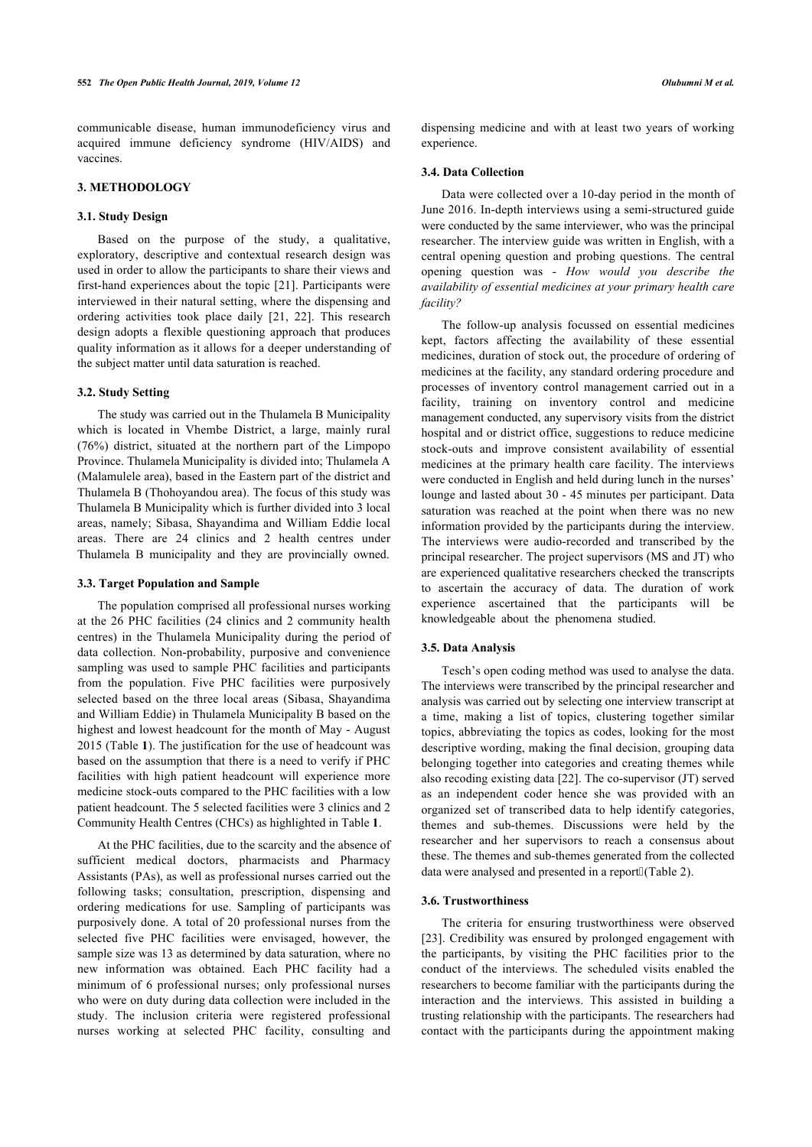communicable disease, human immunodeficiency virus and acquired immune deficiency syndrome (HIV/AIDS) and vaccines.

# **3. METHODOLOGY**

#### **3.1. Study Design**

Based on the purpose of the study, a qualitative, exploratory, descriptive and contextual research design was used in order to allow the participants to share their views and first-hand experiences about the topic [\[21\]](#page-7-7). Participants were interviewed in their natural setting, where the dispensing and ordering activities took place daily [\[21](#page-7-7), [22](#page-7-8)]. This research design adopts a flexible questioning approach that produces quality information as it allows for a deeper understanding of the subject matter until data saturation is reached.

#### **3.2. Study Setting**

The study was carried out in the Thulamela B Municipality which is located in Vhembe District, a large, mainly rural (76%) district, situated at the northern part of the Limpopo Province. Thulamela Municipality is divided into; Thulamela A (Malamulele area), based in the Eastern part of the district and Thulamela B (Thohoyandou area). The focus of this study was Thulamela B Municipality which is further divided into 3 local areas, namely; Sibasa, Shayandima and William Eddie local areas. There are 24 clinics and 2 health centres under Thulamela B municipality and they are provincially owned.

#### **3.3. Target Population and Sample**

The population comprised all professional nurses working at the 26 PHC facilities (24 clinics and 2 community health centres) in the Thulamela Municipality during the period of data collection. Non-probability, purposive and convenience sampling was used to sample PHC facilities and participants from the population. Five PHC facilities were purposively selected based on the three local areas (Sibasa, Shayandima and William Eddie) in Thulamela Municipality B based on the highest and lowest headcount for the month of May - August 2015 (Table **[1](#page-5-0)**). The justification for the use of headcount was based on the assumption that there is a need to verify if PHC facilities with high patient headcount will experience more medicine stock-outs compared to the PHC facilities with a low patient headcount. The 5 selected facilities were 3 clinics and 2 Community Health Centres (CHCs) as highlighted in Table **[1](#page-5-0)**.

At the PHC facilities, due to the scarcity and the absence of sufficient medical doctors, pharmacists and Pharmacy Assistants (PAs), as well as professional nurses carried out the following tasks; consultation, prescription, dispensing and ordering medications for use. Sampling of participants was purposively done. A total of 20 professional nurses from the selected five PHC facilities were envisaged, however, the sample size was 13 as determined by data saturation, where no new information was obtained. Each PHC facility had a minimum of 6 professional nurses; only professional nurses who were on duty during data collection were included in the study. The inclusion criteria were registered professional nurses working at selected PHC facility, consulting and

dispensing medicine and with at least two years of working experience.

# **3.4. Data Collection**

Data were collected over a 10-day period in the month of June 2016. In-depth interviews using a semi-structured guide were conducted by the same interviewer, who was the principal researcher. The interview guide was written in English, with a central opening question and probing questions. The central opening question was - *How would you describe the availability of essential medicines at your primary health care facility?*

The follow-up analysis focussed on essential medicines kept, factors affecting the availability of these essential medicines, duration of stock out, the procedure of ordering of medicines at the facility, any standard ordering procedure and processes of inventory control management carried out in a facility, training on inventory control and medicine management conducted, any supervisory visits from the district hospital and or district office, suggestions to reduce medicine stock-outs and improve consistent availability of essential medicines at the primary health care facility. The interviews were conducted in English and held during lunch in the nurses' lounge and lasted about 30 - 45 minutes per participant. Data saturation was reached at the point when there was no new information provided by the participants during the interview. The interviews were audio-recorded and transcribed by the principal researcher. The project supervisors (MS and JT) who are experienced qualitative researchers checked the transcripts to ascertain the accuracy of data. The duration of work experience ascertained that the participants will be knowledgeable about the phenomena studied.

#### **3.5. Data Analysis**

Tesch's open coding method was used to analyse the data. The interviews were transcribed by the principal researcher and analysis was carried out by selecting one interview transcript at a time, making a list of topics, clustering together similar topics, abbreviating the topics as codes, looking for the most descriptive wording, making the final decision, grouping data belonging together into categories and creating themes while also recoding existing data [\[22](#page-7-8)]. The co-supervisor (JT) served as an independent coder hence she was provided with an organized set of transcribed data to help identify categories, themes and sub-themes. Discussions were held by the researcher and her supervisors to reach a consensus about these. The themes and sub-themes generated from the collected data were analysed and presented in a report (Table 2).

#### **3.6. Trustworthiness**

The criteria for ensuring trustworthiness were observed [[23](#page-7-9)]. Credibility was ensured by prolonged engagement with the participants, by visiting the PHC facilities prior to the conduct of the interviews. The scheduled visits enabled the researchers to become familiar with the participants during the interaction and the interviews. This assisted in building a trusting relationship with the participants. The researchers had contact with the participants during the appointment making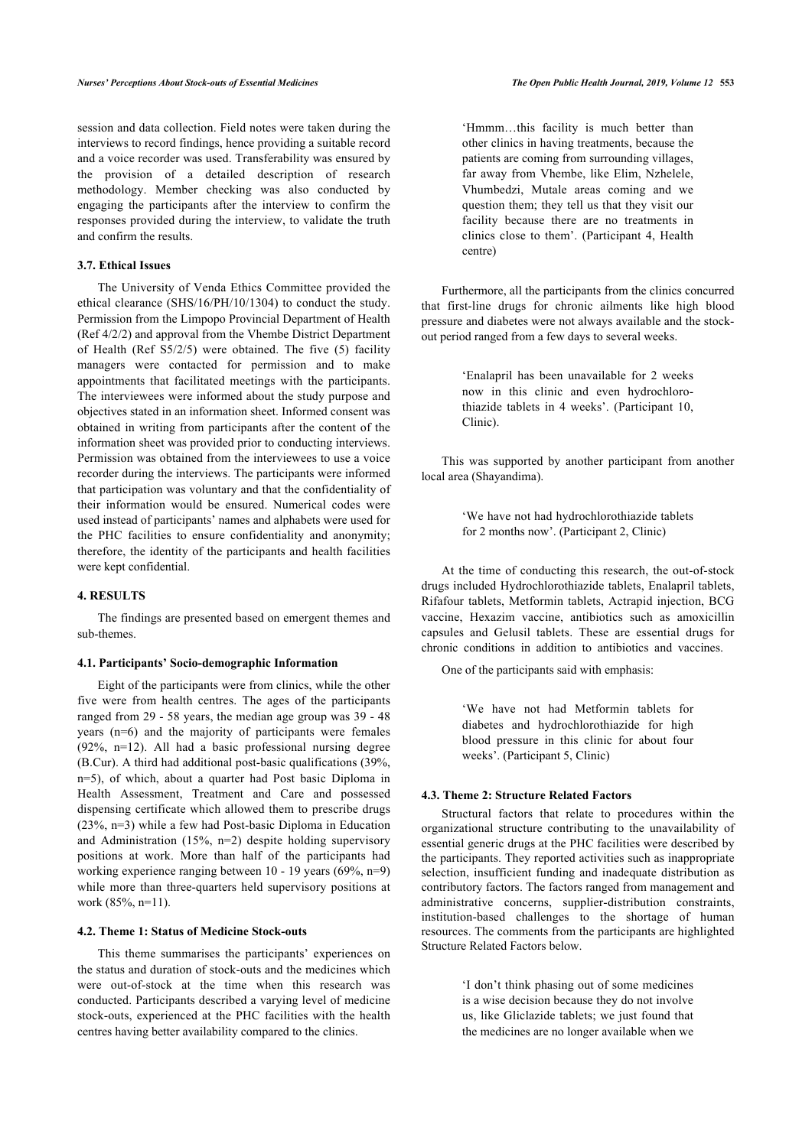session and data collection. Field notes were taken during the interviews to record findings, hence providing a suitable record and a voice recorder was used. Transferability was ensured by the provision of a detailed description of research methodology. Member checking was also conducted by engaging the participants after the interview to confirm the responses provided during the interview, to validate the truth and confirm the results.

# **3.7. Ethical Issues**

The University of Venda Ethics Committee provided the ethical clearance (SHS/16/PH/10/1304) to conduct the study. Permission from the Limpopo Provincial Department of Health (Ref 4/2/2) and approval from the Vhembe District Department of Health (Ref S5/2/5) were obtained. The five (5) facility managers were contacted for permission and to make appointments that facilitated meetings with the participants. The interviewees were informed about the study purpose and objectives stated in an information sheet. Informed consent was obtained in writing from participants after the content of the information sheet was provided prior to conducting interviews. Permission was obtained from the interviewees to use a voice recorder during the interviews. The participants were informed that participation was voluntary and that the confidentiality of their information would be ensured. Numerical codes were used instead of participants' names and alphabets were used for the PHC facilities to ensure confidentiality and anonymity; therefore, the identity of the participants and health facilities were kept confidential.

# **4. RESULTS**

The findings are presented based on emergent themes and sub-themes.

# **4.1. Participants' Socio-demographic Information**

Eight of the participants were from clinics, while the other five were from health centres. The ages of the participants ranged from 29 - 58 years, the median age group was 39 - 48 years (n=6) and the majority of participants were females (92%, n=12). All had a basic professional nursing degree (B.Cur). A third had additional post-basic qualifications (39%, n=5), of which, about a quarter had Post basic Diploma in Health Assessment, Treatment and Care and possessed dispensing certificate which allowed them to prescribe drugs (23%, n=3) while a few had Post-basic Diploma in Education and Administration (15%, n=2) despite holding supervisory positions at work. More than half of the participants had working experience ranging between 10 - 19 years (69%, n=9) while more than three-quarters held supervisory positions at work (85%, n=11).

# **4.2. Theme 1: Status of Medicine Stock-outs**

This theme summarises the participants' experiences on the status and duration of stock-outs and the medicines which were out-of-stock at the time when this research was conducted. Participants described a varying level of medicine stock-outs, experienced at the PHC facilities with the health centres having better availability compared to the clinics.

'Hmmm…this facility is much better than other clinics in having treatments, because the patients are coming from surrounding villages, far away from Vhembe, like Elim, Nzhelele, Vhumbedzi, Mutale areas coming and we question them; they tell us that they visit our facility because there are no treatments in clinics close to them'. (Participant 4, Health centre)

Furthermore, all the participants from the clinics concurred that first-line drugs for chronic ailments like high blood pressure and diabetes were not always available and the stockout period ranged from a few days to several weeks.

> 'Enalapril has been unavailable for 2 weeks now in this clinic and even hydrochlorothiazide tablets in 4 weeks'. (Participant 10, Clinic).

This was supported by another participant from another local area (Shayandima).

> 'We have not had hydrochlorothiazide tablets for 2 months now'. (Participant 2, Clinic)

At the time of conducting this research, the out-of-stock drugs included Hydrochlorothiazide tablets, Enalapril tablets, Rifafour tablets, Metformin tablets, Actrapid injection, BCG vaccine, Hexazim vaccine, antibiotics such as amoxicillin capsules and Gelusil tablets. These are essential drugs for chronic conditions in addition to antibiotics and vaccines.

One of the participants said with emphasis:

'We have not had Metformin tablets for diabetes and hydrochlorothiazide for high blood pressure in this clinic for about four weeks'. (Participant 5, Clinic)

#### **4.3. Theme 2: Structure Related Factors**

Structural factors that relate to procedures within the organizational structure contributing to the unavailability of essential generic drugs at the PHC facilities were described by the participants. They reported activities such as inappropriate selection, insufficient funding and inadequate distribution as contributory factors. The factors ranged from management and administrative concerns, supplier-distribution constraints, institution-based challenges to the shortage of human resources. The comments from the participants are highlighted Structure Related Factors below.

> 'I don't think phasing out of some medicines is a wise decision because they do not involve us, like Gliclazide tablets; we just found that the medicines are no longer available when we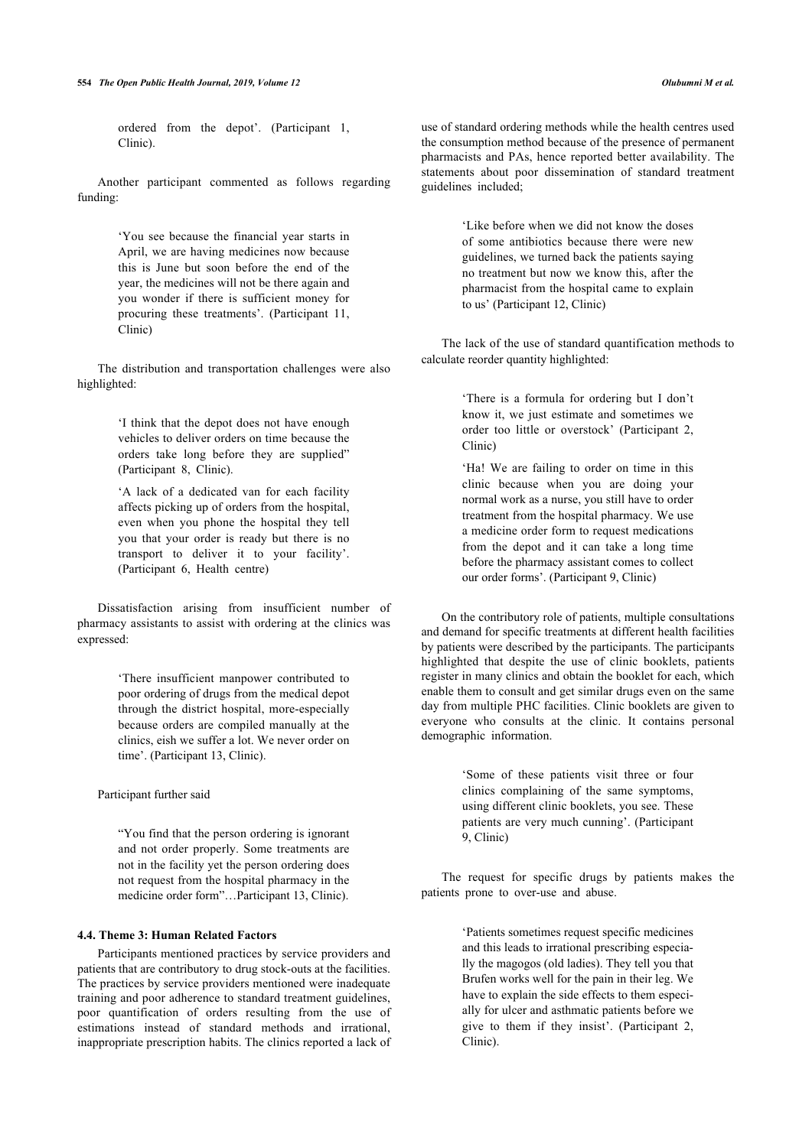ordered from the depot'. (Participant 1, Clinic).

Another participant commented as follows regarding funding:

> 'You see because the financial year starts in April, we are having medicines now because this is June but soon before the end of the year, the medicines will not be there again and you wonder if there is sufficient money for procuring these treatments'. (Participant 11, Clinic)

The distribution and transportation challenges were also highlighted:

> 'I think that the depot does not have enough vehicles to deliver orders on time because the orders take long before they are supplied" (Participant 8, Clinic).

> 'A lack of a dedicated van for each facility affects picking up of orders from the hospital, even when you phone the hospital they tell you that your order is ready but there is no transport to deliver it to your facility'. (Participant 6, Health centre)

Dissatisfaction arising from insufficient number of pharmacy assistants to assist with ordering at the clinics was expressed:

> 'There insufficient manpower contributed to poor ordering of drugs from the medical depot through the district hospital, more-especially because orders are compiled manually at the clinics, eish we suffer a lot. We never order on time'. (Participant 13, Clinic).

Participant further said

"You find that the person ordering is ignorant and not order properly. Some treatments are not in the facility yet the person ordering does not request from the hospital pharmacy in the medicine order form"…Participant 13, Clinic).

# **4.4. Theme 3: Human Related Factors**

Participants mentioned practices by service providers and patients that are contributory to drug stock-outs at the facilities. The practices by service providers mentioned were inadequate training and poor adherence to standard treatment guidelines, poor quantification of orders resulting from the use of estimations instead of standard methods and irrational, inappropriate prescription habits. The clinics reported a lack of

use of standard ordering methods while the health centres used the consumption method because of the presence of permanent pharmacists and PAs, hence reported better availability. The statements about poor dissemination of standard treatment guidelines included;

> 'Like before when we did not know the doses of some antibiotics because there were new guidelines, we turned back the patients saying no treatment but now we know this, after the pharmacist from the hospital came to explain to us' (Participant 12, Clinic)

The lack of the use of standard quantification methods to calculate reorder quantity highlighted:

> 'There is a formula for ordering but I don't know it, we just estimate and sometimes we order too little or overstock' (Participant 2, Clinic)

> 'Ha! We are failing to order on time in this clinic because when you are doing your normal work as a nurse, you still have to order treatment from the hospital pharmacy. We use a medicine order form to request medications from the depot and it can take a long time before the pharmacy assistant comes to collect our order forms'. (Participant 9, Clinic)

On the contributory role of patients, multiple consultations and demand for specific treatments at different health facilities by patients were described by the participants. The participants highlighted that despite the use of clinic booklets, patients register in many clinics and obtain the booklet for each, which enable them to consult and get similar drugs even on the same day from multiple PHC facilities. Clinic booklets are given to everyone who consults at the clinic. It contains personal demographic information.

> 'Some of these patients visit three or four clinics complaining of the same symptoms, using different clinic booklets, you see. These patients are very much cunning'. (Participant 9, Clinic)

The request for specific drugs by patients makes the patients prone to over-use and abuse.

> 'Patients sometimes request specific medicines and this leads to irrational prescribing especially the magogos (old ladies). They tell you that Brufen works well for the pain in their leg. We have to explain the side effects to them especially for ulcer and asthmatic patients before we give to them if they insist'. (Participant 2, Clinic).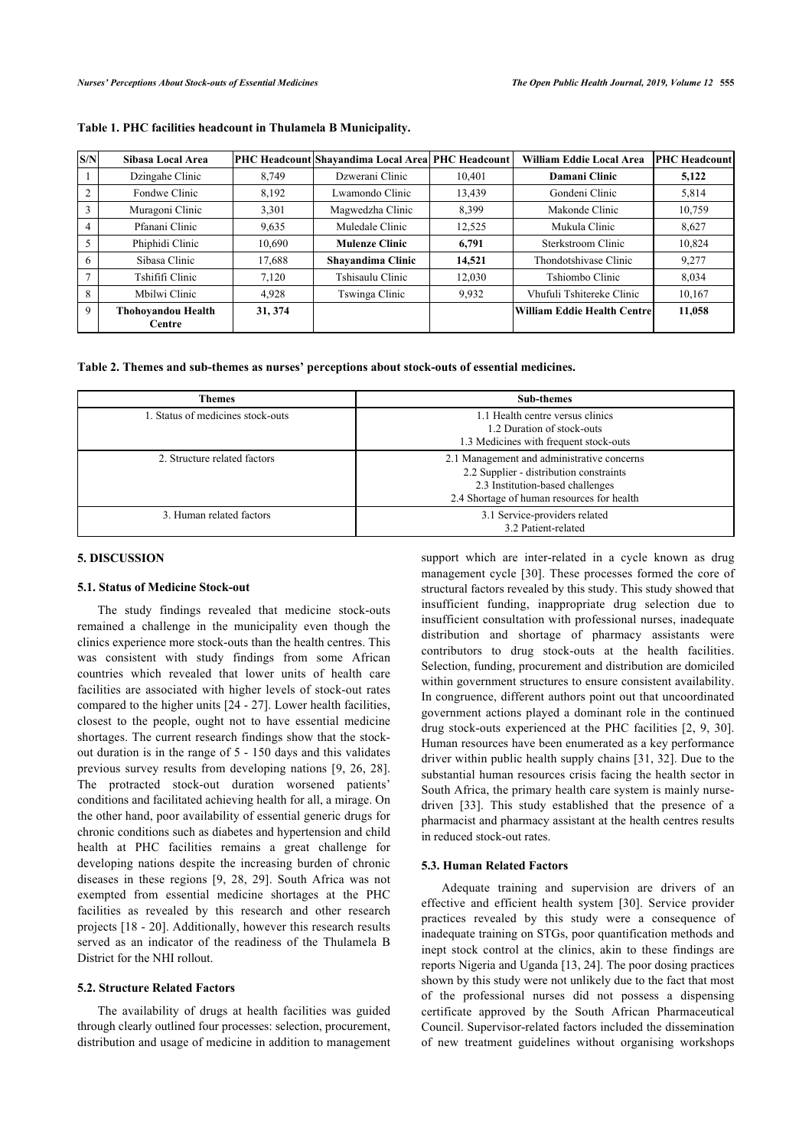| S/N | Sibasa Local Area            |         | PHC Headcount Shayandima Local Area PHC Headcount |        | William Eddie Local Area     | <b>PHC</b> Headcount |
|-----|------------------------------|---------|---------------------------------------------------|--------|------------------------------|----------------------|
|     | Dzingahe Clinic              | 8.749   | Dzwerani Clinic                                   | 10.401 | Damani Clinic                | 5,122                |
|     | Fondwe Clinic                | 8,192   | Lwamondo Clinic                                   | 13,439 | Gondeni Clinic               | 5,814                |
|     | Muragoni Clinic              | 3,301   | Magwedzha Clinic                                  | 8,399  | Makonde Clinic               | 10,759               |
| 4   | Pfanani Clinic               | 9,635   | Muledale Clinic                                   | 12,525 | Mukula Clinic                | 8,627                |
|     | Phiphidi Clinic              | 10,690  | <b>Mulenze Clinic</b>                             | 6.791  | Sterkstroom Clinic           | 10,824               |
| 6   | Sibasa Clinic                | 17,688  | Shayandima Clinic                                 | 14,521 | Thondotshivase Clinic        | 9,277                |
|     | Tshififi Clinic              | 7.120   | Tshisaulu Clinic                                  | 12,030 | Tshiombo Clinic              | 8.034                |
| 8   | Mbilwi Clinic                | 4.928   | Tswinga Clinic                                    | 9,932  | Vhufuli Tshitereke Clinic    | 10,167               |
| 9   | Thohovandou Health<br>Centre | 31, 374 |                                                   |        | William Eddie Health Centrel | 11,058               |
|     |                              |         |                                                   |        |                              |                      |

#### <span id="page-5-0"></span>**Table 1. PHC facilities headcount in Thulamela B Municipality.**

**Table 2. Themes and sub-themes as nurses' perceptions about stock-outs of essential medicines.**

| <b>Themes</b>                     | <b>Sub-themes</b>                                                                                                                                                       |
|-----------------------------------|-------------------------------------------------------------------------------------------------------------------------------------------------------------------------|
| 1. Status of medicines stock-outs | 1.1 Health centre versus clinics<br>1.2 Duration of stock-outs<br>1.3 Medicines with frequent stock-outs                                                                |
| 2. Structure related factors      | 2.1 Management and administrative concerns<br>2.2 Supplier - distribution constraints<br>2.3 Institution-based challenges<br>2.4 Shortage of human resources for health |
| 3. Human related factors          | 3.1 Service-providers related<br>3.2 Patient-related                                                                                                                    |

#### **5. DISCUSSION**

# **5.1. Status of Medicine Stock-out**

The study findings revealed that medicine stock-outs remained a challenge in the municipality even though the clinics experience more stock-outs than the health centres. This was consistent with study findings from some African countries which revealed that lower units of health care facilities are associated with higher levels of stock-out rates compared to the higher units [\[24](#page-7-10) - [27\]](#page-7-11). Lower health facilities, closest to the people, ought not to have essential medicine shortages. The current research findings show that the stockout duration is in the range of 5 - 150 days and this validates previous survey results from developing nations [\[9](#page-6-8), [26,](#page-7-12) [28\]](#page-7-13). The protracted stock-out duration worsened patients' conditions and facilitated achieving health for all, a mirage. On the other hand, poor availability of essential generic drugs for chronic conditions such as diabetes and hypertension and child health at PHC facilities remains a great challenge for developing nations despite the increasing burden of chronic diseases in these regions[[9,](#page-6-8) [28,](#page-7-13) [29](#page-7-14)]. South Africa was not exempted from essential medicine shortages at the PHC facilities as revealed by this research and other research projects [[18](#page-7-15) - [20\]](#page-7-6). Additionally, however this research results served as an indicator of the readiness of the Thulamela B District for the NHI rollout.

# **5.2. Structure Related Factors**

The availability of drugs at health facilities was guided through clearly outlined four processes: selection, procurement, distribution and usage of medicine in addition to management

support which are inter-related in a cycle known as drug management cycle [\[30](#page-7-16)]. These processes formed the core of structural factors revealed by this study. This study showed that insufficient funding, inappropriate drug selection due to insufficient consultation with professional nurses, inadequate distribution and shortage of pharmacy assistants were contributors to drug stock-outs at the health facilities. Selection, funding, procurement and distribution are domiciled within government structures to ensure consistent availability. In congruence, different authors point out that uncoordinated government actions played a dominant role in the continued drug stock-outs experienced at the PHC facilities [\[2,](#page-6-1) [9](#page-6-8), [30](#page-7-16)]. Human resources have been enumerated as a key performance driver within public health supply chains [[31](#page-7-17), [32](#page-7-18)]. Due to the substantial human resources crisis facing the health sector in South Africa, the primary health care system is mainly nursedriven [\[33](#page-7-7)]. This study established that the presence of a pharmacist and pharmacy assistant at the health centres results in reduced stock-out rates.

#### **5.3. Human Related Factors**

Adequate training and supervision are drivers of an effective and efficient health system[[30](#page-7-16)]. Service provider practices revealed by this study were a consequence of inadequate training on STGs, poor quantification methods and inept stock control at the clinics, akin to these findings are reports Nigeria and Uganda [[13,](#page-7-1) [24](#page-7-10)]. The poor dosing practices shown by this study were not unlikely due to the fact that most of the professional nurses did not possess a dispensing certificate approved by the South African Pharmaceutical Council. Supervisor-related factors included the dissemination of new treatment guidelines without organising workshops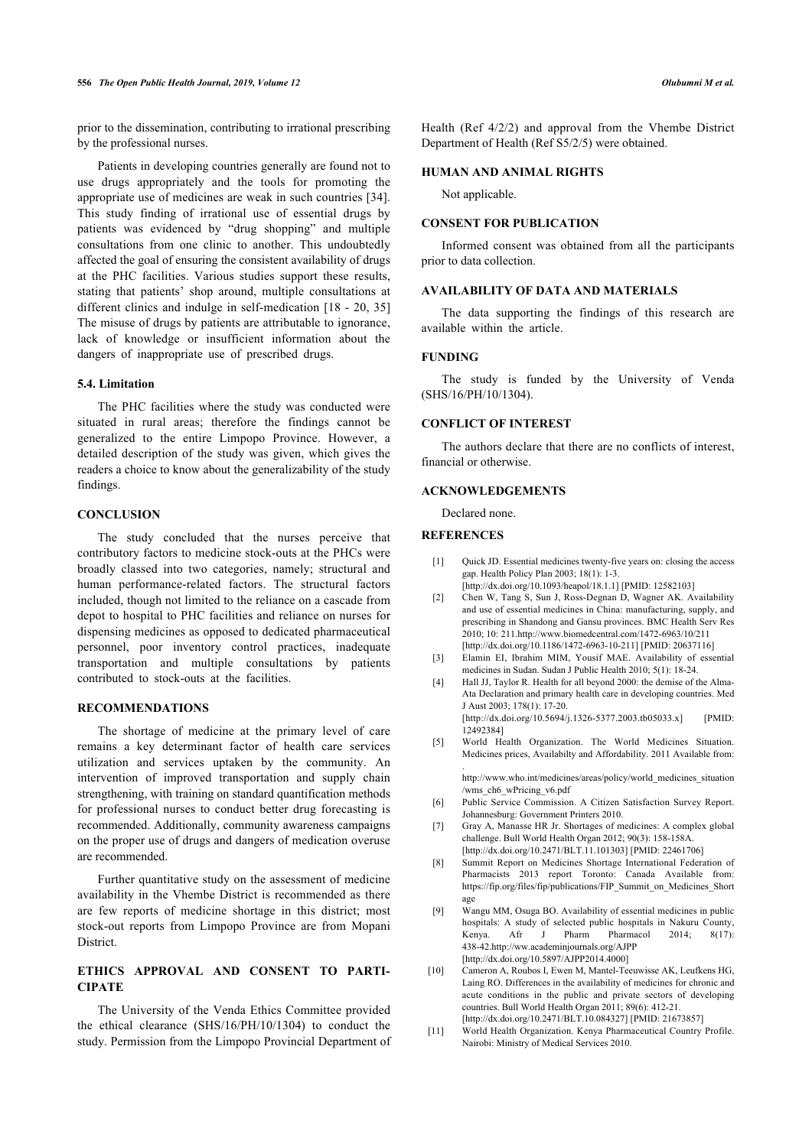prior to the dissemination, contributing to irrational prescribing by the professional nurses.

Patients in developing countries generally are found not to use drugs appropriately and the tools for promoting the appropriate use of medicines are weak in such countries [[34\]](#page-7-19). This study finding of irrational use of essential drugs by patients was evidenced by "drug shopping" and multiple consultations from one clinic to another. This undoubtedly affected the goal of ensuring the consistent availability of drugs at the PHC facilities. Various studies support these results, stating that patients' shop around, multiple consultations at different clinics and indulge in self-medication [[18](#page-7-15) - [20,](#page-7-6) [35](#page-7-20)] The misuse of drugs by patients are attributable to ignorance, lack of knowledge or insufficient information about the dangers of inappropriate use of prescribed drugs.

# **5.4. Limitation**

The PHC facilities where the study was conducted were situated in rural areas; therefore the findings cannot be generalized to the entire Limpopo Province. However, a detailed description of the study was given, which gives the readers a choice to know about the generalizability of the study findings.

# **CONCLUSION**

<span id="page-6-1"></span><span id="page-6-0"></span>The study concluded that the nurses perceive that contributory factors to medicine stock-outs at the PHCs were broadly classed into two categories, namely; structural and human performance-related factors. The structural factors included, though not limited to the reliance on a cascade from depot to hospital to PHC facilities and reliance on nurses for dispensing medicines as opposed to dedicated pharmaceutical personnel, poor inventory control practices, inadequate transportation and multiple consultations by patients contributed to stock-outs at the facilities.

# <span id="page-6-3"></span><span id="page-6-2"></span>**RECOMMENDATIONS**

<span id="page-6-5"></span><span id="page-6-4"></span>The shortage of medicine at the primary level of care remains a key determinant factor of health care services utilization and services uptaken by the community. An intervention of improved transportation and supply chain strengthening, with training on standard quantification methods for professional nurses to conduct better drug forecasting is recommended. Additionally, community awareness campaigns on the proper use of drugs and dangers of medication overuse are recommended.

<span id="page-6-8"></span><span id="page-6-7"></span><span id="page-6-6"></span>Further quantitative study on the assessment of medicine availability in the Vhembe District is recommended as there are few reports of medicine shortage in this district; most stock-out reports from Limpopo Province are from Mopani **District** 

# <span id="page-6-9"></span>**ETHICS APPROVAL AND CONSENT TO PARTI-CIPATE**

<span id="page-6-10"></span>The University of the Venda Ethics Committee provided the ethical clearance (SHS/16/PH/10/1304) to conduct the study. Permission from the Limpopo Provincial Department of Health (Ref 4/2/2) and approval from the Vhembe District Department of Health (Ref S5/2/5) were obtained.

#### **HUMAN AND ANIMAL RIGHTS**

Not applicable.

#### **CONSENT FOR PUBLICATION**

Informed consent was obtained from all the participants prior to data collection.

# **AVAILABILITY OF DATA AND MATERIALS**

The data supporting the findings of this research are available within the article.

#### **FUNDING**

The study is funded by the University of Venda (SHS/16/PH/10/1304).

# **CONFLICT OF INTEREST**

The authors declare that there are no conflicts of interest, financial or otherwise.

# **ACKNOWLEDGEMENTS**

Declared none.

# **REFERENCES**

- [1] Quick JD. Essential medicines twenty-five years on: closing the access gap. Health Policy Plan 2003; 18(1): 1-3. [\[http://dx.doi.org/10.1093/heapol/18.1.1\]](http://dx.doi.org/10.1093/heapol/18.1.1) [PMID: [12582103](http://www.ncbi.nlm.nih.gov/pubmed/12582103)]
- [2] Chen W, Tang S, Sun J, Ross-Degnan D, Wagner AK. Availability and use of essential medicines in China: manufacturing, supply, and prescribing in Shandong and Gansu provinces. BMC Health Serv Res 2010; 10: 211.<http://www.biomedcentral.com/1472-6963/10/211> [\[http://dx.doi.org/10.1186/1472-6963-10-211\]](http://dx.doi.org/10.1186/1472-6963-10-211) [PMID: [20637116\]](http://www.ncbi.nlm.nih.gov/pubmed/20637116)
- [3] Elamin EI, Ibrahim MIM, Yousif MAE. Availability of essential medicines in Sudan. Sudan J Public Health 2010; 5(1): 18-24.
- [4] Hall JJ, Taylor R. Health for all beyond 2000: the demise of the Alma-Ata Declaration and primary health care in developing countries. Med J Aust 2003; 178(1): 17-20. [\[http://dx.doi.org/10.5694/j.1326-5377.2003.tb05033.x](http://dx.doi.org/10.5694/j.1326-5377.2003.tb05033.x)] [PMID:

[12492384\]](http://www.ncbi.nlm.nih.gov/pubmed/12492384) [5] World Health Organization. The World Medicines Situation.

Medicines prices, Availabilty and Affordability. 2011 Available from: .

[http://www.who.int/medicines/areas/policy/world\\_medicines\\_situation](http://www.who.int/medicines/areas/policy/world_medicines_situation/wms_ch6_wPricing_v6.pdf) [/wms\\_ch6\\_wPricing\\_v6.pdf](http://www.who.int/medicines/areas/policy/world_medicines_situation/wms_ch6_wPricing_v6.pdf)

- [6] Public Service Commission. A Citizen Satisfaction Survey Report. Johannesburg: Government Printers 2010.
- [7] Gray A, Manasse HR Jr. Shortages of medicines: A complex global challenge. Bull World Health Organ 2012; 90(3): 158-158A. [\[http://dx.doi.org/10.2471/BLT.11.101303](http://dx.doi.org/10.2471/BLT.11.101303)] [PMID: [22461706\]](http://www.ncbi.nlm.nih.gov/pubmed/22461706)
- [8] Summit Report on Medicines Shortage International Federation of Pharmacists 2013 report Toronto: Canada Available from: [https://fip.org/files/fip/publications/FIP\\_Summit\\_on\\_Medicines\\_Short](https://fip.org/files/fip/publications/FIP_Summit_on_Medicines_Shortage) [age](https://fip.org/files/fip/publications/FIP_Summit_on_Medicines_Shortage)
- [9] Wangu MM, Osuga BO. Availability of essential medicines in public hospitals: A study of selected public hospitals in Nakuru County, Kenya. Afr J Pharm Pharmacol 2014; 8(17): 438-42.<http://ww.academinjournals.org/AJPP> [\[http://dx.doi.org/10.5897/AJPP2014.4000\]](http://dx.doi.org/10.5897/AJPP2014.4000)
- [10] Cameron A, Roubos I, Ewen M, Mantel-Teeuwisse AK, Leufkens HG, Laing RO. Differences in the availability of medicines for chronic and acute conditions in the public and private sectors of developing countries. Bull World Health Organ 2011; 89(6): 412-21. [\[http://dx.doi.org/10.2471/BLT.10.084327](http://dx.doi.org/10.2471/BLT.10.084327)] [PMID: [21673857\]](http://www.ncbi.nlm.nih.gov/pubmed/21673857)
- [11] World Health Organization. Kenya Pharmaceutical Country Profile. Nairobi: Ministry of Medical Services 2010.